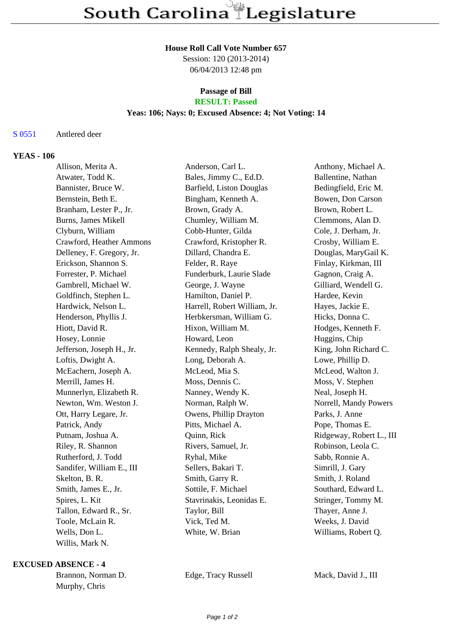#### **House Roll Call Vote Number 657**

Session: 120 (2013-2014) 06/04/2013 12:48 pm

# **Passage of Bill**

# **RESULT: Passed**

## **Yeas: 106; Nays: 0; Excused Absence: 4; Not Voting: 14**

#### S 0551 Antlered deer

## **YEAS - 106**

| Allison, Merita A.        | Anderson, Carl L.            | Anthony, Michael A.      |
|---------------------------|------------------------------|--------------------------|
| Atwater, Todd K.          | Bales, Jimmy C., Ed.D.       | Ballentine, Nathan       |
| Bannister, Bruce W.       | Barfield, Liston Douglas     | Bedingfield, Eric M.     |
| Bernstein, Beth E.        | Bingham, Kenneth A.          | Bowen, Don Carson        |
| Branham, Lester P., Jr.   | Brown, Grady A.              | Brown, Robert L.         |
| Burns, James Mikell       | Chumley, William M.          | Clemmons, Alan D.        |
| Clyburn, William          | Cobb-Hunter, Gilda           | Cole, J. Derham, Jr.     |
| Crawford, Heather Ammons  | Crawford, Kristopher R.      | Crosby, William E.       |
| Delleney, F. Gregory, Jr. | Dillard, Chandra E.          | Douglas, MaryGail K.     |
| Erickson, Shannon S.      | Felder, R. Raye              | Finlay, Kirkman, III     |
| Forrester, P. Michael     | Funderburk, Laurie Slade     | Gagnon, Craig A.         |
| Gambrell, Michael W.      | George, J. Wayne             | Gilliard, Wendell G.     |
| Goldfinch, Stephen L.     | Hamilton, Daniel P.          | Hardee, Kevin            |
| Hardwick, Nelson L.       | Harrell, Robert William, Jr. | Hayes, Jackie E.         |
| Henderson, Phyllis J.     | Herbkersman, William G.      | Hicks, Donna C.          |
| Hiott, David R.           | Hixon, William M.            | Hodges, Kenneth F.       |
| Hosey, Lonnie             | Howard, Leon                 | Huggins, Chip            |
| Jefferson, Joseph H., Jr. | Kennedy, Ralph Shealy, Jr.   | King, John Richard C.    |
| Loftis, Dwight A.         | Long, Deborah A.             | Lowe, Phillip D.         |
| McEachern, Joseph A.      | McLeod, Mia S.               | McLeod, Walton J.        |
| Merrill, James H.         | Moss, Dennis C.              | Moss, V. Stephen         |
| Munnerlyn, Elizabeth R.   | Nanney, Wendy K.             | Neal, Joseph H.          |
| Newton, Wm. Weston J.     | Norman, Ralph W.             | Norrell, Mandy Powers    |
| Ott, Harry Legare, Jr.    | Owens, Phillip Drayton       | Parks, J. Anne           |
| Patrick, Andy             | Pitts, Michael A.            | Pope, Thomas E.          |
| Putnam, Joshua A.         | Quinn, Rick                  | Ridgeway, Robert L., III |
| Riley, R. Shannon         | Rivers, Samuel, Jr.          | Robinson, Leola C.       |
| Rutherford, J. Todd       | Ryhal, Mike                  | Sabb, Ronnie A.          |
| Sandifer, William E., III | Sellers, Bakari T.           | Simrill, J. Gary         |
| Skelton, B. R.            | Smith, Garry R.              | Smith, J. Roland         |
| Smith, James E., Jr.      | Sottile, F. Michael          | Southard, Edward L.      |
| Spires, L. Kit            | Stavrinakis, Leonidas E.     | Stringer, Tommy M.       |
| Tallon, Edward R., Sr.    | Taylor, Bill                 | Thayer, Anne J.          |
| Toole, McLain R.          | Vick, Ted M.                 | Weeks, J. David          |
| Wells, Don L.             | White, W. Brian              | Williams, Robert Q.      |
| Willis, Mark N.           |                              |                          |

#### **EXCUSED ABSENCE - 4**

Brannon, Norman D. Edge, Tracy Russell Mack, David J., III Murphy, Chris